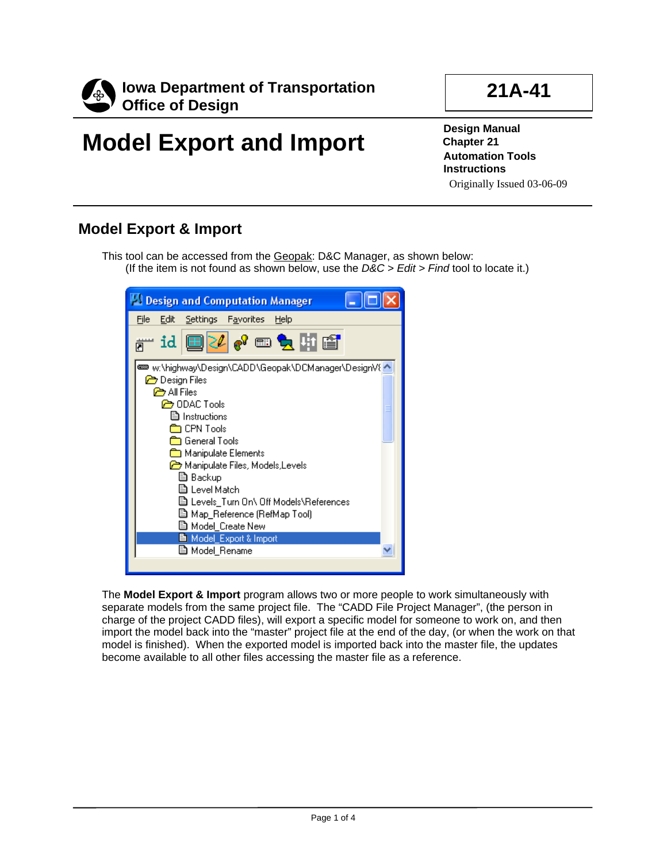

## **21A-41**

# **Model Export and Import**

**Design Manual Chapter 21 Automation Tools Instructions**  Originally Issued 03-06-09

### **Model Export & Import**

This tool can be accessed from the Geopak: D&C Manager, as shown below: (If the item is not found as shown below, use the *D&C > Edit > Find* tool to locate it.)



The **Model Export & Import** program allows two or more people to work simultaneously with separate models from the same project file. The "CADD File Project Manager", (the person in charge of the project CADD files), will export a specific model for someone to work on, and then import the model back into the "master" project file at the end of the day, (or when the work on that model is finished). When the exported model is imported back into the master file, the updates become available to all other files accessing the master file as a reference.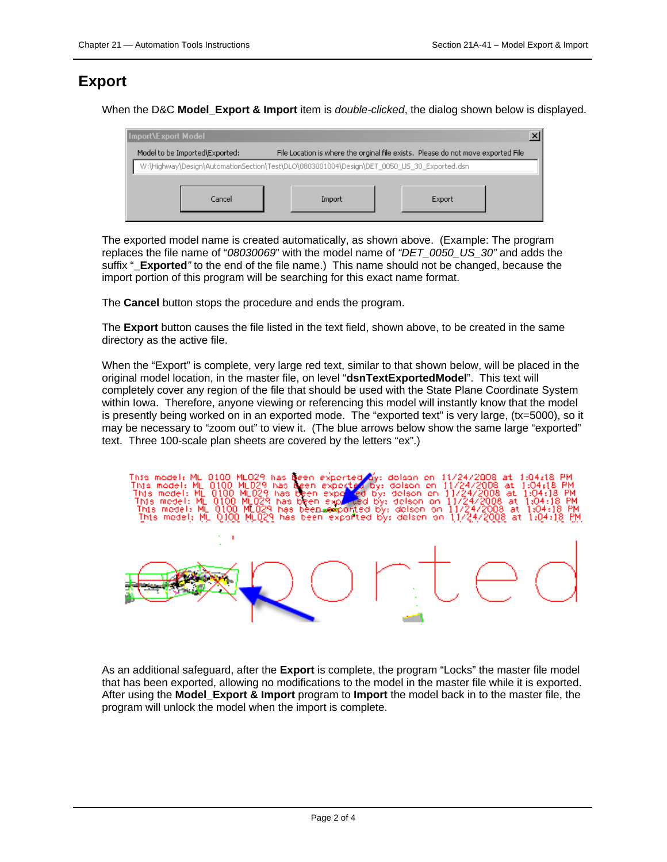#### **Export**

When the D&C **Model\_Export & Import** item is *double-clicked*, the dialog shown below is displayed.

| Import\Export Model                                                                        |        |                                                                                  |  |
|--------------------------------------------------------------------------------------------|--------|----------------------------------------------------------------------------------|--|
| Model to be Imported\Exported:                                                             |        | File Location is where the orginal file exists. Please do not move exported File |  |
| W:\Highway\Design\AutomationSection\Test\DLO\0803001004\Design\DET_0050_US_30_Exported.dsn |        |                                                                                  |  |
|                                                                                            |        |                                                                                  |  |
| Cancel                                                                                     | Import | Export                                                                           |  |
|                                                                                            |        |                                                                                  |  |

The exported model name is created automatically, as shown above. (Example: The program replaces the file name of "*08030069*" with the model name of *"DET\_0050\_US\_30"* and adds the suffix "**\_Exported***"* to the end of the file name.) This name should not be changed, because the import portion of this program will be searching for this exact name format.

The **Cancel** button stops the procedure and ends the program.

The **Export** button causes the file listed in the text field, shown above, to be created in the same directory as the active file.

When the "Export" is complete, very large red text, similar to that shown below, will be placed in the original model location, in the master file, on level "**dsnTextExportedModel**". This text will completely cover any region of the file that should be used with the State Plane Coordinate System within Iowa. Therefore, anyone viewing or referencing this model will instantly know that the model is presently being worked on in an exported mode. The "exported text" is very large, (tx=5000), so it may be necessary to "zoom out" to view it. (The blue arrows below show the same large "exported" text. Three 100-scale plan sheets are covered by the letters "ex".)



As an additional safeguard, after the **Export** is complete, the program "Locks" the master file model that has been exported, allowing no modifications to the model in the master file while it is exported. After using the **Model\_Export & Import** program to **Import** the model back in to the master file, the program will unlock the model when the import is complete.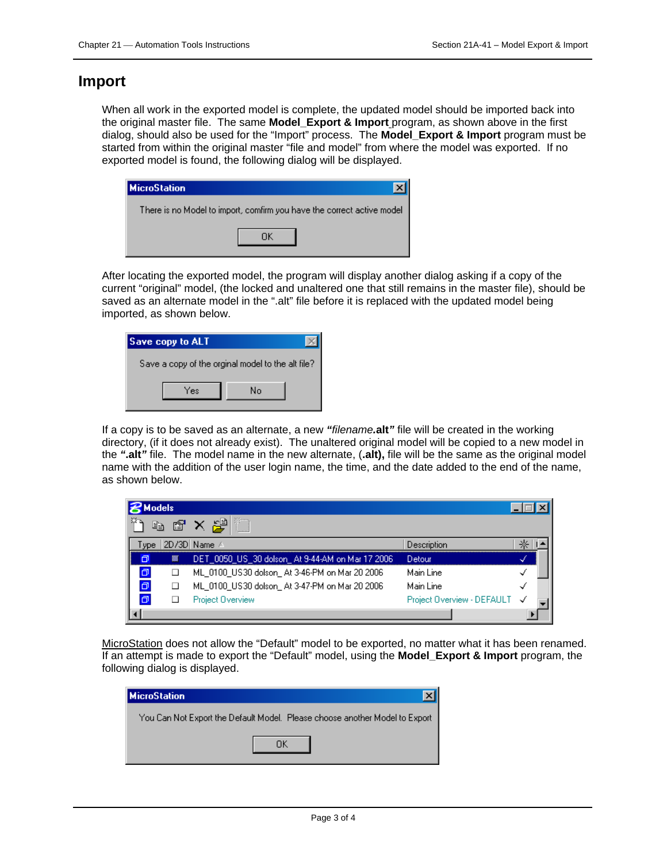#### **Import**

When all work in the exported model is complete, the updated model should be imported back into the original master file. The same **Model\_Export & Import** program, as shown above in the first dialog, should also be used for the "Import" process. The **Model\_Export & Import** program must be started from within the original master "file and model" from where the model was exported. If no exported model is found, the following dialog will be displayed.

| <b>MicroStation</b>                                                    |
|------------------------------------------------------------------------|
| There is no Model to import, comfirm you have the correct active model |
|                                                                        |

After locating the exported model, the program will display another dialog asking if a copy of the current "original" model, (the locked and unaltered one that still remains in the master file), should be saved as an alternate model in the ".alt" file before it is replaced with the updated model being imported, as shown below.

| Save copy to ALT                                  |    |  |
|---------------------------------------------------|----|--|
| Save a copy of the orginal model to the alt file? |    |  |
| Yes                                               | N٥ |  |

If a copy is to be saved as an alternate, a new *"filename.***alt***"* file will be created in the working directory, (if it does not already exist). The unaltered original model will be copied to a new model in the *"***.alt***"* file. The model name in the new alternate, (**.alt),** file will be the same as the original model name with the addition of the user login name, the time, and the date added to the end of the name, as shown below.

| <b>Models</b> |        |                                                 |                              |  |  |
|---------------|--------|-------------------------------------------------|------------------------------|--|--|
| EB.           | ft     | スピ                                              |                              |  |  |
| wpe           |        | 2D/3D Name /                                    | Description                  |  |  |
| ⋒             | 籘      | DET 0050 US 30 dolson At 9-44-AM on Mar 17 2006 | Detour.                      |  |  |
| σ             | $\Box$ | ML 0100 US30 dolson At 3-46-PM on Mar 20 2006   | Main Line                    |  |  |
| σ             |        | ML 0100 US30 dolson At 3-47-PM on Mar 20 2006   | Main Line                    |  |  |
| σ             |        | Project Overview                                | Project Overview - DEFAULT √ |  |  |
|               |        |                                                 |                              |  |  |

MicroStation does not allow the "Default" model to be exported, no matter what it has been renamed. If an attempt is made to export the "Default" model, using the **Model\_Export & Import** program, the following dialog is displayed.

| <b>MicroStation</b> |                                                                              |
|---------------------|------------------------------------------------------------------------------|
|                     | You Can Not Export the Default Model.  Please choose another Model to Export |
|                     |                                                                              |